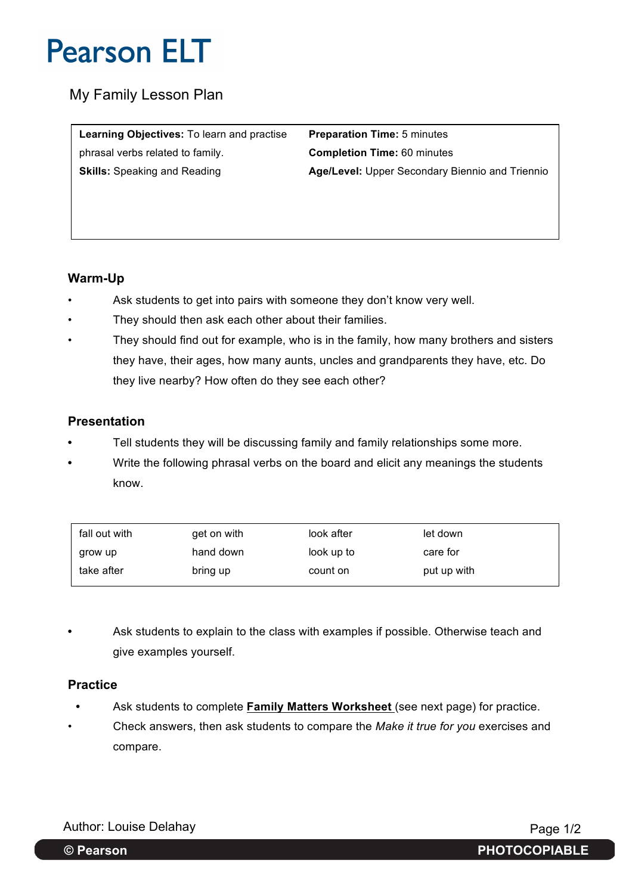My Family Lesson Plan

**Learning Objectives:** To learn and practise **Preparation Time:** 5 minutes phrasal verbs related to family. **Completion Time:** 60 minutes

**Skills:** Speaking and Reading **Age/Level:** Upper Secondary Biennio and Triennio

### **Warm-Up**

- Ask students to get into pairs with someone they don't know very well.
- They should then ask each other about their families.
- They should find out for example, who is in the family, how many brothers and sisters they have, their ages, how many aunts, uncles and grandparents they have, etc. Do they live nearby? How often do they see each other?

### **Presentation**

- **•** Tell students they will be discussing family and family relationships some more.
- **•** Write the following phrasal verbs on the board and elicit any meanings the students know.

| fall out with | get on with | look after | let down    |
|---------------|-------------|------------|-------------|
| grow up       | hand down   | look up to | care for    |
| take after    | bring up    | count on   | put up with |

**•** Ask students to explain to the class with examples if possible. Otherwise teach and give examples yourself.

#### **Practice**

- **•** Ask students to complete **Family Matters Worksheet** (see next page) for practice.
- Check answers, then ask students to compare the *Make it true for you* exercises and compare.

Author: Louise Delahay **Page 1/2** 

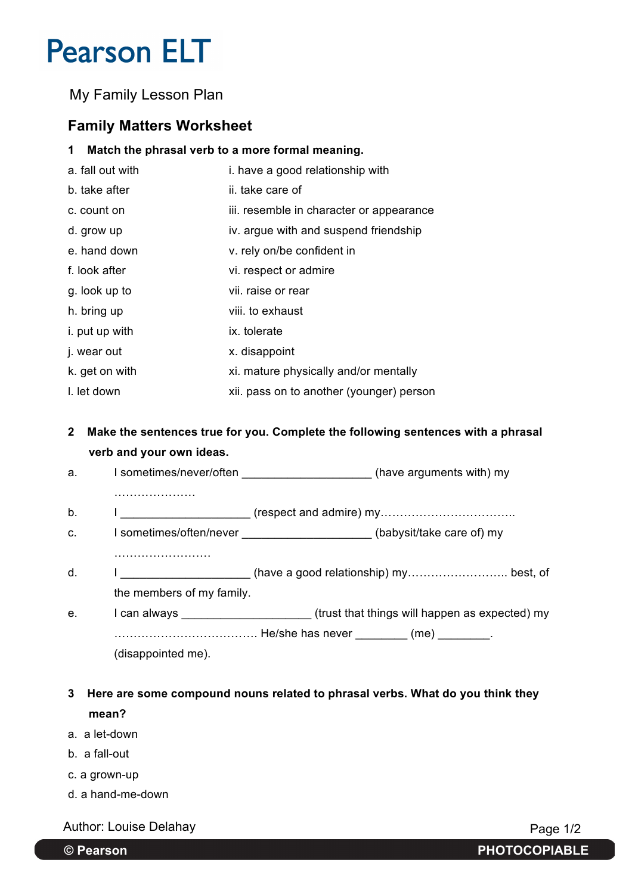My Family Lesson Plan

## **Family Matters Worksheet**

### **1 Match the phrasal verb to a more formal meaning.**

| a. fall out with | i. have a good relationship with         |
|------------------|------------------------------------------|
| b. take after    | ii. take care of                         |
| c. count on      | iii. resemble in character or appearance |
| d. grow up       | iv. argue with and suspend friendship    |
| e. hand down     | v. rely on/be confident in               |
| f. look after    | vi. respect or admire                    |
| g. look up to    | vii, raise or rear                       |
| h. bring up      | viii. to exhaust                         |
| i. put up with   | ix. tolerate                             |
| j. wear out      | x. disappoint                            |
| k. get on with   | xi. mature physically and/or mentally    |
| I. let down      | xii. pass on to another (younger) person |

### **2 Make the sentences true for you. Complete the following sentences with a phrasal verb and your own ideas.**

| a. | I sometimes/never/often | (have arguments with) my |  |  |
|----|-------------------------|--------------------------|--|--|
|    |                         |                          |  |  |

- b. I \_\_\_\_\_\_\_\_\_\_\_\_\_\_\_\_\_\_\_\_ (respect and admire) my……………………………..
- c. I sometimes/often/never example and the solution of the solution of the solution of the solution of the solution of the solution of the solution of the solution of the solution of the solution of the solution of the sol
- …………………….
- d. I \_\_\_\_\_\_\_\_\_\_\_\_\_\_\_\_\_\_\_\_\_(have a good relationship) my……………………………………… best, of the members of my family.
- e. I can always \_\_\_\_\_\_\_\_\_\_\_\_\_\_\_\_\_\_\_\_\_\_\_\_\_(trust that things will happen as expected) my ………………………………. He/she has never \_\_\_\_\_\_\_\_ (me) \_\_\_\_\_\_\_\_. (disappointed me).

**3 Here are some compound nouns related to phrasal verbs. What do you think they mean?**

- a. a let-down
- b. a fall-out
- c. a grown-up
- d. a hand-me-down

Author: Louise Delahay **Page 1/2** Page 1/2

**© Pearson PHOTOCOPIABLE**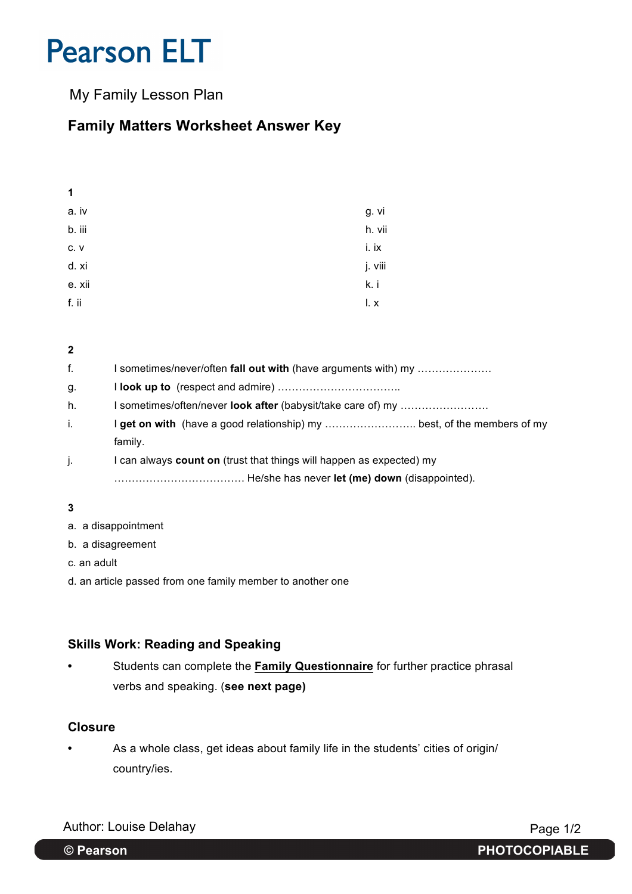My Family Lesson Plan

## **Family Matters Worksheet Answer Key**

| . .    |         |
|--------|---------|
| a. iv  | g. vi   |
| b. iii | h. vii  |
| C.V    | i. ix   |
| d. xi  | j. viii |
| e. xii | k. i    |
| f. ii  | l. x    |

**2** f. I sometimes/never/often **fall out with** (have arguments with) my ………………… g. I **look up to** (respect and admire) …………………………….. h. I sometimes/often/never **look after** (babysit/take care of) my ……………………. i. **I get on with** (have a good relationship) my ............................... best, of the members of my family. j. I can always **count on** (trust that things will happen as expected) my ………………………………. He/she has never **let (me) down** (disappointed).

**3**

**1**

- a. a disappointment
- b. a disagreement
- c. an adult
- d. an article passed from one family member to another one

#### **Skills Work: Reading and Speaking**

**•** Students can complete the **Family Questionnaire** for further practice phrasal verbs and speaking. (**see next page)**

#### **Closure**

**•** As a whole class, get ideas about family life in the students' cities of origin/ country/ies.

Author: Louise Delahay **Page 1/2** 

**© Pearson PHOTOCOPIABLE**